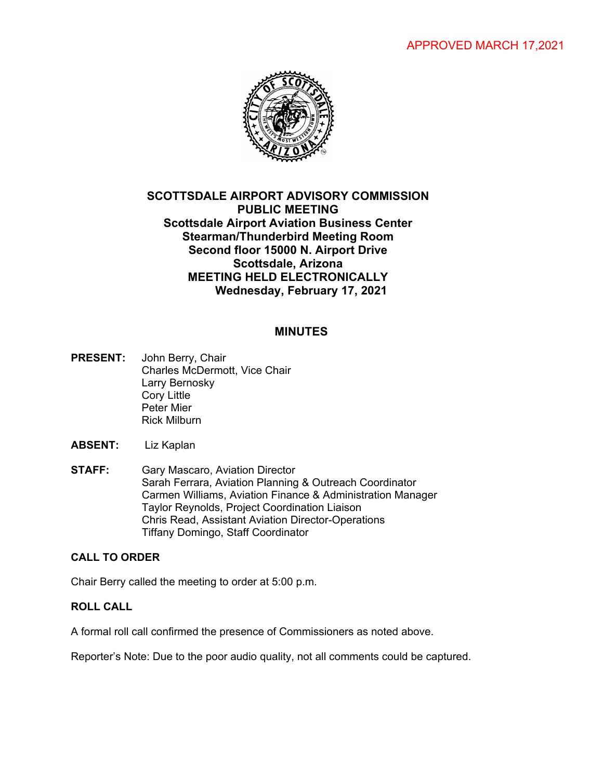# APPROVED MARCH 17,2021



# **SCOTTSDALE AIRPORT ADVISORY COMMISSION PUBLIC MEETING Scottsdale Airport Aviation Business Center Stearman/Thunderbird Meeting Room Second floor 15000 N. Airport Drive Scottsdale, Arizona MEETING HELD ELECTRONICALLY Wednesday, February 17, 2021**

## **MINUTES**

- **PRESENT:** John Berry, Chair Charles McDermott, Vice Chair Larry Bernosky Cory Little Peter Mier Rick Milburn
- **ABSENT:** Liz Kaplan
- **STAFF:** Gary Mascaro, Aviation Director Sarah Ferrara, Aviation Planning & Outreach Coordinator Carmen Williams, Aviation Finance & Administration Manager Taylor Reynolds, Project Coordination Liaison Chris Read, Assistant Aviation Director-Operations Tiffany Domingo, Staff Coordinator

#### **CALL TO ORDER**

Chair Berry called the meeting to order at 5:00 p.m.

## **ROLL CALL**

A formal roll call confirmed the presence of Commissioners as noted above.

Reporter's Note: Due to the poor audio quality, not all comments could be captured.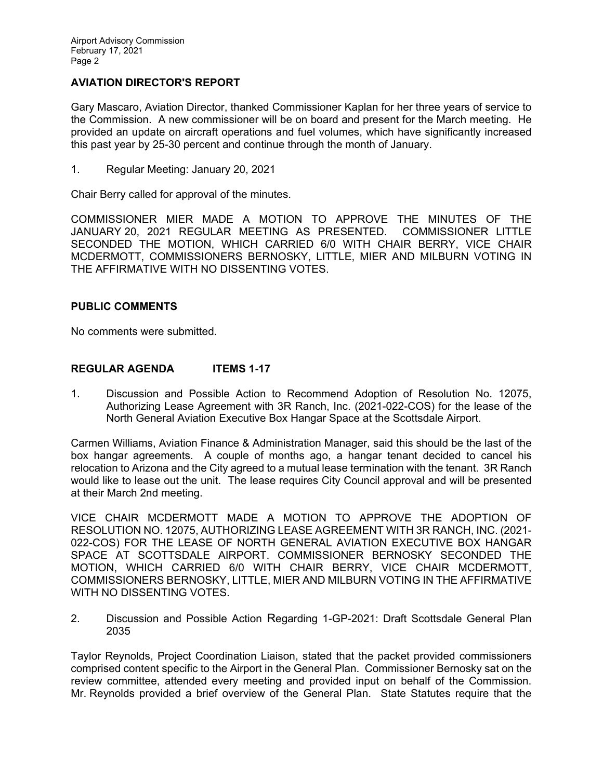## **AVIATION DIRECTOR'S REPORT**

Gary Mascaro, Aviation Director, thanked Commissioner Kaplan for her three years of service to the Commission. A new commissioner will be on board and present for the March meeting. He provided an update on aircraft operations and fuel volumes, which have significantly increased this past year by 25-30 percent and continue through the month of January.

1. Regular Meeting: January 20, 2021

Chair Berry called for approval of the minutes.

COMMISSIONER MIER MADE A MOTION TO APPROVE THE MINUTES OF THE JANUARY 20, 2021 REGULAR MEETING AS PRESENTED. COMMISSIONER LITTLE SECONDED THE MOTION, WHICH CARRIED 6/0 WITH CHAIR BERRY, VICE CHAIR MCDERMOTT, COMMISSIONERS BERNOSKY, LITTLE, MIER AND MILBURN VOTING IN THE AFFIRMATIVE WITH NO DISSENTING VOTES.

## **PUBLIC COMMENTS**

No comments were submitted.

## **REGULAR AGENDA ITEMS 1-17**

1. Discussion and Possible Action to Recommend Adoption of Resolution No. 12075, Authorizing Lease Agreement with 3R Ranch, Inc. (2021-022-COS) for the lease of the North General Aviation Executive Box Hangar Space at the Scottsdale Airport.

Carmen Williams, Aviation Finance & Administration Manager, said this should be the last of the box hangar agreements. A couple of months ago, a hangar tenant decided to cancel his relocation to Arizona and the City agreed to a mutual lease termination with the tenant. 3R Ranch would like to lease out the unit. The lease requires City Council approval and will be presented at their March 2nd meeting.

VICE CHAIR MCDERMOTT MADE A MOTION TO APPROVE THE ADOPTION OF RESOLUTION NO. 12075, AUTHORIZING LEASE AGREEMENT WITH 3R RANCH, INC. (2021- 022-COS) FOR THE LEASE OF NORTH GENERAL AVIATION EXECUTIVE BOX HANGAR SPACE AT SCOTTSDALE AIRPORT. COMMISSIONER BERNOSKY SECONDED THE MOTION, WHICH CARRIED 6/0 WITH CHAIR BERRY, VICE CHAIR MCDERMOTT, COMMISSIONERS BERNOSKY, LITTLE, MIER AND MILBURN VOTING IN THE AFFIRMATIVE WITH NO DISSENTING VOTES.

2. Discussion and Possible Action Regarding 1-GP-2021: Draft Scottsdale General Plan 2035

Taylor Reynolds, Project Coordination Liaison, stated that the packet provided commissioners comprised content specific to the Airport in the General Plan. Commissioner Bernosky sat on the review committee, attended every meeting and provided input on behalf of the Commission. Mr. Reynolds provided a brief overview of the General Plan. State Statutes require that the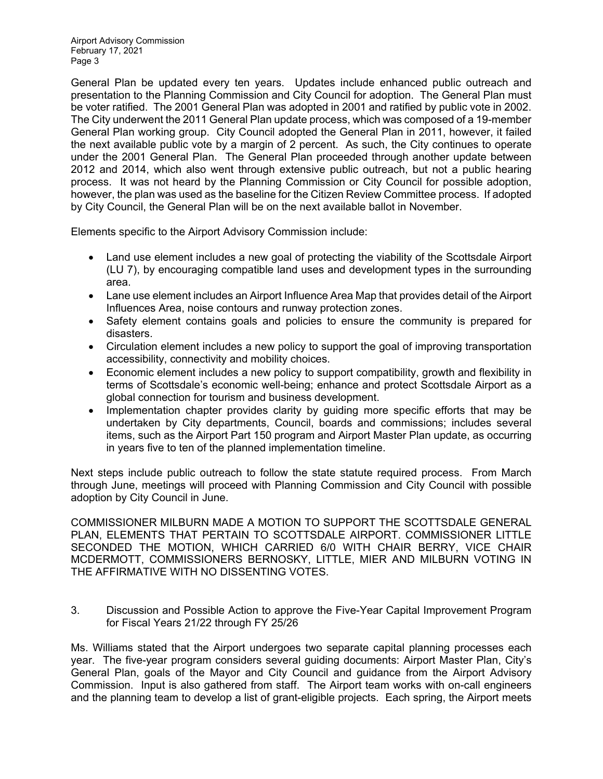Airport Advisory Commission February 17, 2021 Page 3

General Plan be updated every ten years. Updates include enhanced public outreach and presentation to the Planning Commission and City Council for adoption. The General Plan must be voter ratified. The 2001 General Plan was adopted in 2001 and ratified by public vote in 2002. The City underwent the 2011 General Plan update process, which was composed of a 19-member General Plan working group. City Council adopted the General Plan in 2011, however, it failed the next available public vote by a margin of 2 percent. As such, the City continues to operate under the 2001 General Plan. The General Plan proceeded through another update between 2012 and 2014, which also went through extensive public outreach, but not a public hearing process. It was not heard by the Planning Commission or City Council for possible adoption, however, the plan was used as the baseline for the Citizen Review Committee process. If adopted by City Council, the General Plan will be on the next available ballot in November.

Elements specific to the Airport Advisory Commission include:

- Land use element includes a new goal of protecting the viability of the Scottsdale Airport (LU 7), by encouraging compatible land uses and development types in the surrounding area.
- Lane use element includes an Airport Influence Area Map that provides detail of the Airport Influences Area, noise contours and runway protection zones.
- Safety element contains goals and policies to ensure the community is prepared for disasters.
- Circulation element includes a new policy to support the goal of improving transportation accessibility, connectivity and mobility choices.
- Economic element includes a new policy to support compatibility, growth and flexibility in terms of Scottsdale's economic well-being; enhance and protect Scottsdale Airport as a global connection for tourism and business development.
- Implementation chapter provides clarity by guiding more specific efforts that may be undertaken by City departments, Council, boards and commissions; includes several items, such as the Airport Part 150 program and Airport Master Plan update, as occurring in years five to ten of the planned implementation timeline.

Next steps include public outreach to follow the state statute required process. From March through June, meetings will proceed with Planning Commission and City Council with possible adoption by City Council in June.

COMMISSIONER MILBURN MADE A MOTION TO SUPPORT THE SCOTTSDALE GENERAL PLAN, ELEMENTS THAT PERTAIN TO SCOTTSDALE AIRPORT. COMMISSIONER LITTLE SECONDED THE MOTION, WHICH CARRIED 6/0 WITH CHAIR BERRY, VICE CHAIR MCDERMOTT, COMMISSIONERS BERNOSKY, LITTLE, MIER AND MILBURN VOTING IN THE AFFIRMATIVE WITH NO DISSENTING VOTES.

3. Discussion and Possible Action to approve the Five-Year Capital Improvement Program for Fiscal Years 21/22 through FY 25/26

Ms. Williams stated that the Airport undergoes two separate capital planning processes each year. The five-year program considers several guiding documents: Airport Master Plan, City's General Plan, goals of the Mayor and City Council and guidance from the Airport Advisory Commission. Input is also gathered from staff. The Airport team works with on-call engineers and the planning team to develop a list of grant-eligible projects. Each spring, the Airport meets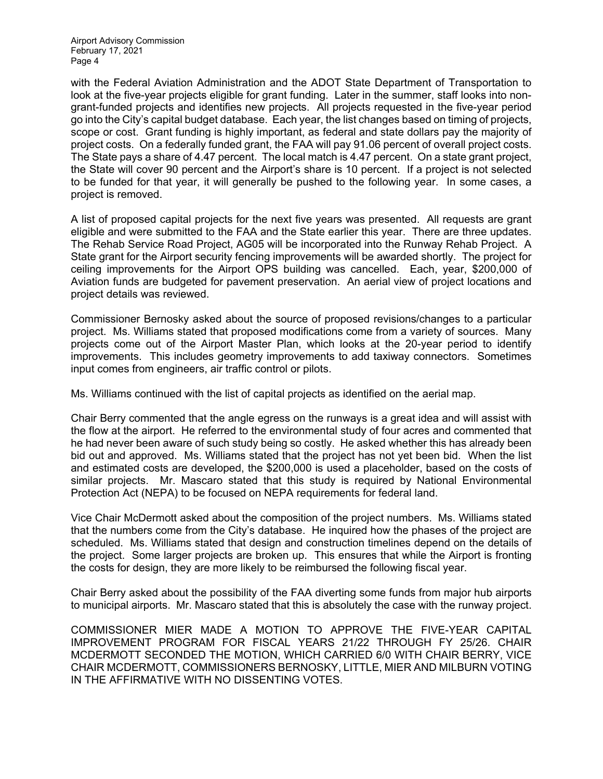Airport Advisory Commission February 17, 2021 Page 4

with the Federal Aviation Administration and the ADOT State Department of Transportation to look at the five-year projects eligible for grant funding. Later in the summer, staff looks into nongrant-funded projects and identifies new projects. All projects requested in the five-year period go into the City's capital budget database. Each year, the list changes based on timing of projects, scope or cost. Grant funding is highly important, as federal and state dollars pay the majority of project costs. On a federally funded grant, the FAA will pay 91.06 percent of overall project costs. The State pays a share of 4.47 percent. The local match is 4.47 percent. On a state grant project, the State will cover 90 percent and the Airport's share is 10 percent. If a project is not selected to be funded for that year, it will generally be pushed to the following year. In some cases, a project is removed.

A list of proposed capital projects for the next five years was presented. All requests are grant eligible and were submitted to the FAA and the State earlier this year. There are three updates. The Rehab Service Road Project, AG05 will be incorporated into the Runway Rehab Project. A State grant for the Airport security fencing improvements will be awarded shortly. The project for ceiling improvements for the Airport OPS building was cancelled. Each, year, \$200,000 of Aviation funds are budgeted for pavement preservation. An aerial view of project locations and project details was reviewed.

Commissioner Bernosky asked about the source of proposed revisions/changes to a particular project. Ms. Williams stated that proposed modifications come from a variety of sources. Many projects come out of the Airport Master Plan, which looks at the 20-year period to identify improvements. This includes geometry improvements to add taxiway connectors. Sometimes input comes from engineers, air traffic control or pilots.

Ms. Williams continued with the list of capital projects as identified on the aerial map.

Chair Berry commented that the angle egress on the runways is a great idea and will assist with the flow at the airport. He referred to the environmental study of four acres and commented that he had never been aware of such study being so costly. He asked whether this has already been bid out and approved. Ms. Williams stated that the project has not yet been bid. When the list and estimated costs are developed, the \$200,000 is used a placeholder, based on the costs of similar projects. Mr. Mascaro stated that this study is required by National Environmental Protection Act (NEPA) to be focused on NEPA requirements for federal land.

Vice Chair McDermott asked about the composition of the project numbers. Ms. Williams stated that the numbers come from the City's database. He inquired how the phases of the project are scheduled. Ms. Williams stated that design and construction timelines depend on the details of the project. Some larger projects are broken up. This ensures that while the Airport is fronting the costs for design, they are more likely to be reimbursed the following fiscal year.

Chair Berry asked about the possibility of the FAA diverting some funds from major hub airports to municipal airports. Mr. Mascaro stated that this is absolutely the case with the runway project.

COMMISSIONER MIER MADE A MOTION TO APPROVE THE FIVE-YEAR CAPITAL IMPROVEMENT PROGRAM FOR FISCAL YEARS 21/22 THROUGH FY 25/26. CHAIR MCDERMOTT SECONDED THE MOTION, WHICH CARRIED 6/0 WITH CHAIR BERRY, VICE CHAIR MCDERMOTT, COMMISSIONERS BERNOSKY, LITTLE, MIER AND MILBURN VOTING IN THE AFFIRMATIVE WITH NO DISSENTING VOTES.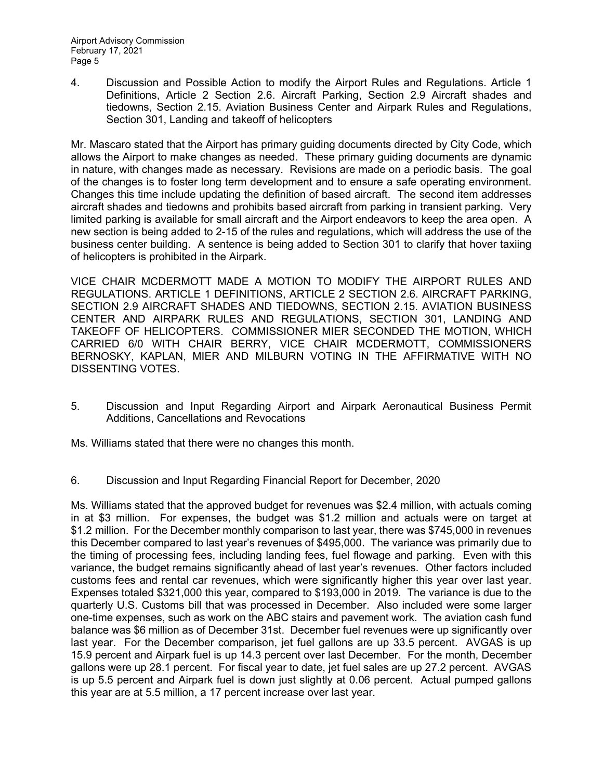4. Discussion and Possible Action to modify the Airport Rules and Regulations. Article 1 Definitions, Article 2 Section 2.6. Aircraft Parking, Section 2.9 Aircraft shades and tiedowns, Section 2.15. Aviation Business Center and Airpark Rules and Regulations, Section 301, Landing and takeoff of helicopters

Mr. Mascaro stated that the Airport has primary guiding documents directed by City Code, which allows the Airport to make changes as needed. These primary guiding documents are dynamic in nature, with changes made as necessary. Revisions are made on a periodic basis. The goal of the changes is to foster long term development and to ensure a safe operating environment. Changes this time include updating the definition of based aircraft. The second item addresses aircraft shades and tiedowns and prohibits based aircraft from parking in transient parking. Very limited parking is available for small aircraft and the Airport endeavors to keep the area open. A new section is being added to 2-15 of the rules and regulations, which will address the use of the business center building. A sentence is being added to Section 301 to clarify that hover taxiing of helicopters is prohibited in the Airpark.

VICE CHAIR MCDERMOTT MADE A MOTION TO MODIFY THE AIRPORT RULES AND REGULATIONS. ARTICLE 1 DEFINITIONS, ARTICLE 2 SECTION 2.6. AIRCRAFT PARKING, SECTION 2.9 AIRCRAFT SHADES AND TIEDOWNS, SECTION 2.15. AVIATION BUSINESS CENTER AND AIRPARK RULES AND REGULATIONS, SECTION 301, LANDING AND TAKEOFF OF HELICOPTERS. COMMISSIONER MIER SECONDED THE MOTION, WHICH CARRIED 6/0 WITH CHAIR BERRY, VICE CHAIR MCDERMOTT, COMMISSIONERS BERNOSKY, KAPLAN, MIER AND MILBURN VOTING IN THE AFFIRMATIVE WITH NO DISSENTING VOTES.

5. Discussion and Input Regarding Airport and Airpark Aeronautical Business Permit Additions, Cancellations and Revocations

Ms. Williams stated that there were no changes this month.

6. Discussion and Input Regarding Financial Report for December, 2020

Ms. Williams stated that the approved budget for revenues was \$2.4 million, with actuals coming in at \$3 million. For expenses, the budget was \$1.2 million and actuals were on target at \$1.2 million. For the December monthly comparison to last year, there was \$745,000 in revenues this December compared to last year's revenues of \$495,000. The variance was primarily due to the timing of processing fees, including landing fees, fuel flowage and parking. Even with this variance, the budget remains significantly ahead of last year's revenues. Other factors included customs fees and rental car revenues, which were significantly higher this year over last year. Expenses totaled \$321,000 this year, compared to \$193,000 in 2019. The variance is due to the quarterly U.S. Customs bill that was processed in December. Also included were some larger one-time expenses, such as work on the ABC stairs and pavement work. The aviation cash fund balance was \$6 million as of December 31st. December fuel revenues were up significantly over last year. For the December comparison, jet fuel gallons are up 33.5 percent. AVGAS is up 15.9 percent and Airpark fuel is up 14.3 percent over last December. For the month, December gallons were up 28.1 percent. For fiscal year to date, jet fuel sales are up 27.2 percent. AVGAS is up 5.5 percent and Airpark fuel is down just slightly at 0.06 percent. Actual pumped gallons this year are at 5.5 million, a 17 percent increase over last year.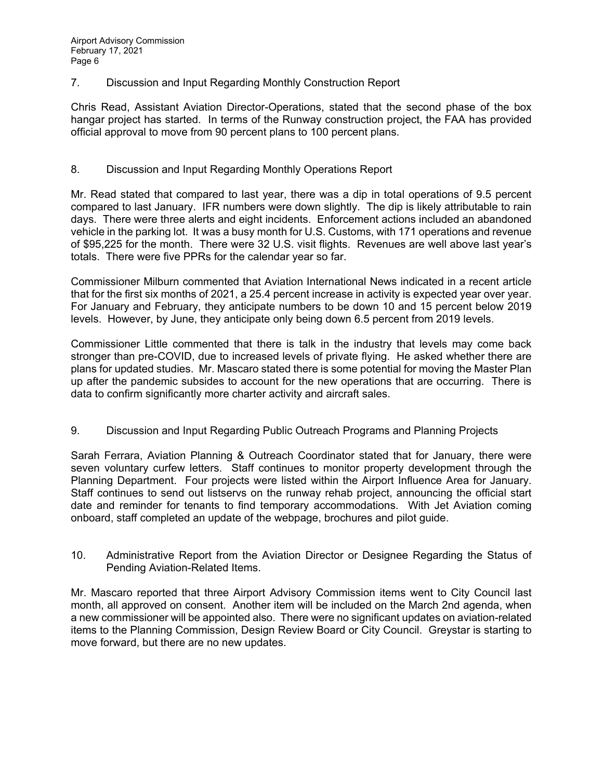7. Discussion and Input Regarding Monthly Construction Report

Chris Read, Assistant Aviation Director-Operations, stated that the second phase of the box hangar project has started. In terms of the Runway construction project, the FAA has provided official approval to move from 90 percent plans to 100 percent plans.

#### 8. Discussion and Input Regarding Monthly Operations Report

Mr. Read stated that compared to last year, there was a dip in total operations of 9.5 percent compared to last January. IFR numbers were down slightly. The dip is likely attributable to rain days. There were three alerts and eight incidents. Enforcement actions included an abandoned vehicle in the parking lot. It was a busy month for U.S. Customs, with 171 operations and revenue of \$95,225 for the month. There were 32 U.S. visit flights. Revenues are well above last year's totals. There were five PPRs for the calendar year so far.

Commissioner Milburn commented that Aviation International News indicated in a recent article that for the first six months of 2021, a 25.4 percent increase in activity is expected year over year. For January and February, they anticipate numbers to be down 10 and 15 percent below 2019 levels. However, by June, they anticipate only being down 6.5 percent from 2019 levels.

Commissioner Little commented that there is talk in the industry that levels may come back stronger than pre-COVID, due to increased levels of private flying. He asked whether there are plans for updated studies. Mr. Mascaro stated there is some potential for moving the Master Plan up after the pandemic subsides to account for the new operations that are occurring. There is data to confirm significantly more charter activity and aircraft sales.

9. Discussion and Input Regarding Public Outreach Programs and Planning Projects

Sarah Ferrara, Aviation Planning & Outreach Coordinator stated that for January, there were seven voluntary curfew letters. Staff continues to monitor property development through the Planning Department. Four projects were listed within the Airport Influence Area for January. Staff continues to send out listservs on the runway rehab project, announcing the official start date and reminder for tenants to find temporary accommodations. With Jet Aviation coming onboard, staff completed an update of the webpage, brochures and pilot guide.

10. Administrative Report from the Aviation Director or Designee Regarding the Status of Pending Aviation-Related Items.

Mr. Mascaro reported that three Airport Advisory Commission items went to City Council last month, all approved on consent. Another item will be included on the March 2nd agenda, when a new commissioner will be appointed also. There were no significant updates on aviation-related items to the Planning Commission, Design Review Board or City Council. Greystar is starting to move forward, but there are no new updates.